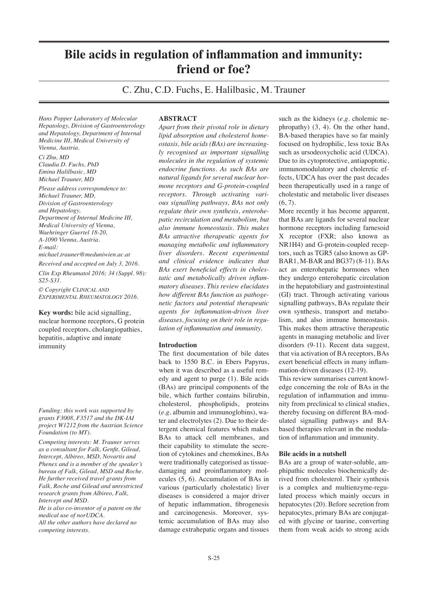# **Bile acids in regulation of inflammation and immunity: friend or foe?**

C. Zhu, C.D. Fuchs, E. Halilbasic, M. Trauner

*Hans Popper Laboratory of Molecular Hepatology, Division of Gastroenterology and Hepatology, Department of Internal Medicine III, Medical University of Vienna, Austria.*

*Ci Zhu, MD Claudia D. Fuchs, PhD Emina Halilbasic, MD Michael Trauner, MD*

*Please address correspondence to: Michael Trauner, MD, Division of Gastroenterology and Hepatology, Department of Internal Medicine III, Medical University of Vienna, Waehringer Guertel 18-20, A-1090 Vienna, Austria. E-mail: michael.trauner@meduniwien.ac.at*

*Received and accepted on July 3, 2016. Clin Exp Rheumatol 2016; 34 (Suppl. 98): S25-S31.*

*© Copyright Clinical and Experimental Rheumatology 2016.*

**Key words:** bile acid signalling, nuclear hormone receptors, G protein coupled receptors, cholangiopathies, hepatitis, adaptive and innate immunity

*Funding: this work was supported by grants F3008, F3517 and the DK-IAI project W1212 from the Austrian Science Foundation (to MT).*

*Competing interests: M. Trauner serves as a consultant for Falk, Genfit, Gilead, Intercept, Albireo, MSD, Novartis and Phenex and is a member of the speaker's bureau of Falk, Gilead, MSD and Roche. He further received travel grants from Falk, Roche and Gilead and unrestricted research grants from Albireo, Falk, Intercept and MSD.* 

*He is also co-inventor of a patent on the medical use of norUDCA. All the other authors have declared no competing interests.*

#### **ABSTRACT**

*Apart from their pivotal role in dietary lipid absorption and cholesterol homeostasis, bile acids (BAs) are increasingly recognised as important signalling molecules in the regulation of systemic endocrine functions. As such BAs are natural ligands for several nuclear hormone receptors and G-protein-coupled receptors. Through activating various signalling pathways, BAs not only regulate their own synthesis, enterohepatic recirculation and metabolism, but also immune homeostasis. This makes BAs attractive therapeutic agents for managing metabolic and inflammatory liver disorders. Recent experimental and clinical evidence indicates that BAs exert beneficial effects in cholestatic and metabolically driven inflammatory diseases. This review elucidates how different BAs function as pathogenetic factors and potential therapeutic agents for inflammation-driven liver diseases, focusing on their role in regulation of inflammation and immunity.*

#### **Introduction**

The first documentation of bile dates back to 1550 B.C. in Ebers Papyrus, when it was described as a useful remedy and agent to purge (1). Bile acids (BAs) are principal components of the bile, which further contains bilirubin, cholesterol, phospholipids, proteins (*e.g.* albumin and immunoglobins), water and electrolytes (2). Due to their detergent chemical features which makes BAs to attack cell membranes, and their capability to stimulate the secretion of cytokines and chemokines, BAs were traditionally categorised as tissuedamaging and proinflammatory molecules (5, 6). Accumulation of BAs in various (particularly cholestatic) liver diseases is considered a major driver of hepatic inflammation, fibrogenesis and carcinogenesis. Moreover, systemic accumulation of BAs may also damage extrahepatic organs and tissues

such as the kidneys (*e.g.* cholemic nephropathy) (3, 4). On the other hand, BA-based therapies have so far mainly focused on hydrophilic, less toxic BAs such as ursodeoxycholic acid (UDCA). Due to its cytoprotective, antiapoptotic, immunomodulatory and choleretic effects, UDCA has over the past decades been therapeutically used in a range of cholestatic and metabolic liver diseases  $(6, 7)$ .

More recently it has become apparent, that BAs are ligands for several nuclear hormone receptors including farnesoid X receptor (FXR; also known as NR1H4) and G-protein-coupled receptors, such as TGR5 (also known as GP-BAR1, M-BAR and BG37) (8-11). BAs act as enterohepatic hormones when they undergo enterohepatic circulation in the hepatobiliary and gastrointestinal (GI) tract. Through activating various signalling pathways, BAs regulate their own synthesis, transport and metabolism, and also immune homeostasis. This makes them attractive therapeutic agents in managing metabolic and liver disorders (9-11). Recent data suggest, that via activation of BA receptors, BAs exert beneficial effects in many inflammation-driven diseases (12-19).

This review summarises current knowledge concerning the role of BAs in the regulation of inflammation and immunity from preclinical to clinical studies, thereby focusing on different BA-modulated signalling pathways and BAbased therapies relevant in the modulation of inflammation and immunity.

#### **Bile acids in a nutshell**

BAs are a group of water-soluble, amphipathic molecules biochemically derived from cholesterol. Their synthesis is a complex and multienzyme-regulated process which mainly occurs in hepatocytes (20). Before secretion from hepatocytes, primary BAs are conjugated with glycine or taurine, converting them from weak acids to strong acids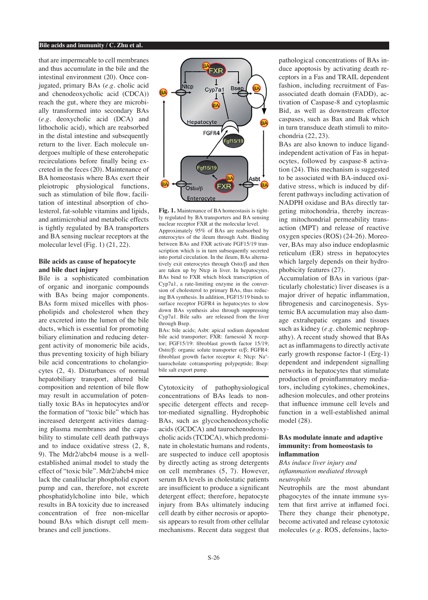#### **Bile acids and immunity / C. Zhu et al.**

that are impermeable to cell membranes and thus accumulate in the bile and the intestinal environment (20). Once conjugated, primary BAs (*e.g.* cholic acid and chenodeoxycholic acid (CDCA)) reach the gut, where they are microbially transformed into secondary BAs (*e.g.* deoxycholic acid (DCA) and lithocholic acid), which are reabsorbed in the distal intestine and subsequently return to the liver. Each molecule undergoes multiple of these enterohepatic recirculations before finally being excreted in the feces (20). Maintenance of BA homeostasis where BAs exert their pleiotropic physiological functions, such as stimulation of bile flow, facilitation of intestinal absorption of cholesterol, fat-soluble vitamins and lipids, and antimicrobial and metabolic effects is tightly regulated by BA transporters and BA sensing nuclear receptors at the molecular level (Fig. 1) (21, 22).

#### **Bile acids as cause of hepatocyte and bile duct injury**

Bile is a sophisticated combination of organic and inorganic compounds with BAs being major components. BAs form mixed micelles with phospholipids and cholesterol when they are excreted into the lumen of the bile ducts, which is essential for promoting biliary elimination and reducing detergent activity of monomeric bile acids, thus preventing toxicity of high biliary bile acid concentrations to cholangiocytes (2, 4). Disturbances of normal hepatobiliary transport, altered bile composition and retention of bile flow may result in accumulation of potentially toxic BAs in hepatocytes and/or the formation of "toxic bile" which has increased detergent activities damaging plasma membranes and the capability to stimulate cell death pathways and to induce oxidative stress (2, 8, 9). The Mdr2/abcb4 mouse is a wellestablished animal model to study the effect of "toxic bile". Mdr2/abcb4 mice lack the canaliluclar phospholid export pump and can, therefore, not excrete phosphatidylcholine into bile, which results in BA toxicity due to increased concentration of free non-micellar bound BAs which disrupt cell membranes and cell junctions.



**Fig. 1.** Maintenance of BA homeostasis is tightly regulated by BA transporters and BA sensing nuclear receptor FXR at the molecular level. Approximately 95% of BAs are reabsorbed by enterocytes of the ileum through Asbt. Binding between BAs and FXR activate FGF15/19 transcription which is in turn subsequently secreted into portal circulation. In the ileum, BAs alternatively exit enterocytes through  $Ost\alpha/\beta$  and then are taken up by Ntcp in liver. In hepatocytes, BAs bind to FXR which block transcription of Cyp7a1, a rate-limiting enzyme in the conversion of cholesterol to primary BAs, thus reducing BA synthesis. In addition, FGF15/19 binds to surface receptor FGFR4 in hepatocytes to slow down BAs synthesis also through suppressing Cyp7a1. Bile salts are released from the liver through Bsep.

BAs: bile acids; Asbt: apical sodium dependent bile acid transporter; FXR: farnesoid  $\overline{X}$  receptor; FGF15/19: fibroblast growth factor 15/19; Ostα/β: organic solute transporter α/β; FGFR4: fibroblast growth factor receptor 4; Ntcp: Na+ taurocholate cotransporting polypeptide; Bsep: bile salt export pump.

Cytotoxicity of pathophysiological concentrations of BAs leads to nonspecific detergent effects and receptor-mediated signalling. Hydrophobic BAs, such as glycochenodeoxycholic acids (GCDCA) and taurochenodeoxycholic acids (TCDCA), which predominate in cholestatic humans and rodents, are suspected to induce cell apoptosis by directly acting as strong detergents on cell membranes (5, 7). However, serum BA levels in cholestatic patients are insufficient to produce a significant detergent effect; therefore, hepatocyte injury from BAs ultimately inducing cell death by either necrosis or apoptosis appears to result from other cellular mechanisms. Recent data suggest that

pathological concentrations of BAs induce apoptosis by activating death receptors in a Fas and TRAIL dependent fashion, including recruitment of Fasassociated death domain (FADD), activation of Caspase-8 and cytoplasmic Bid, as well as downstream effector caspases, such as Bax and Bak which in turn transduce death stimuli to mitochondria (22, 23).

BAs are also known to induce ligandindependent activation of Fas in hepatocytes, followed by caspase-8 activation (24). This mechanism is suggested to be associated with BA-induced oxidative stress, which is induced by different pathways including activation of NADPH oxidase and BAs directly targeting mitochondria, thereby increasing mitochondrial permeability transaction (MPT) and release of reactive oxygen species (ROS) (24-26). Moreover, BAs may also induce endoplasmic reticulum (ER) stress in hepatocytes which largely depends on their hydrophobicity features (27).

Accumulation of BAs in various (particularly cholestatic) liver diseases is a major driver of hepatic inflammation, fibrogenesis and carcinogenesis. Systemic BA accumulation may also damage extrahepatic organs and tissues such as kidney (*e.g.* cholemic nephropathy). A recent study showed that BAs act as inflammagens to directly activate early growth response factor-1 (Erg-1) dependent and independent signalling networks in hepatocytes that stimulate production of proinflammatory mediators, including cytokines, chemokines, adhesion molecules, and other proteins that influence immune cell levels and function in a well-established animal model (28).

#### **BAs modulate innate and adaptive immunity: from homeostasis to inflammation**

*BAs induce liver injury and inflammation mediated through neutrophils*

Neutrophils are the most abundant phagocytes of the innate immune system that first arrive at inflamed foci. There they change their phenotype, become activated and release cytotoxic molecules (*e.g.* ROS, defensins, lacto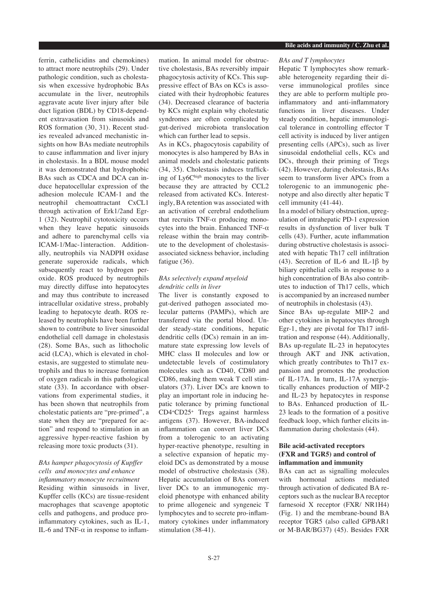ferrin, cathelicidins and chemokines) to attract more neutrophils (29). Under pathologic condition, such as cholestasis when excessive hydrophobic BAs accumulate in the liver, neutrophils aggravate acute liver injury after bile duct ligation (BDL) by CD18-dependent extravasation from sinusoids and ROS formation (30, 31). Recent studies revealed advanced mechanistic insights on how BAs mediate neutrophils to cause inflammation and liver injury in cholestasis. In a BDL mouse model it was demonstrated that hydrophobic BAs such as CDCA and DCA can induce hepatocellular expression of the adhesion molecule ICAM-1 and the neutrophil chemoattractant CxCL1 through activation of Erk1/2and Egr-1 (32). Neutrophil cytotoxicity occurs when they leave hepatic sinusoids and adhere to parenchymal cells via ICAM-1/Mac-1interaction. Additionally, neutrophils via NADPH oxidase generate superoxide radicals, which subsequently react to hydrogen peroxide. ROS produced by neutrophils may directly diffuse into hepatocytes and may thus contribute to increased intracellular oxidative stress, probably leading to hepatocyte death. ROS released by neutrophils have been further shown to contribute to liver sinusoidal endothelial cell damage in cholestasis (28). Some BAs, such as lithocholic acid (LCA), which is elevated in cholestasis, are suggested to stimulate neutrophils and thus to increase formation of oxygen radicals in this pathological state (33). In accordance with observations from experimental studies, it has been shown that neutrophils from cholestatic patients are "pre-primed", a state when they are "prepared for action" and respond to stimulation in an aggressive hyper-reactive fashion by releasing more toxic products (31).

## *BAs hamper phagocytosis of Kupffer cells and monocytes and enhance inflammatory monocyte recruitment*

Residing within sinusoids in liver, Kupffer cells (KCs) are tissue-resident macrophages that scavenge apoptotic cells and pathogens, and produce proinflammatory cytokines, such as IL-1, IL-6 and TNF- $\alpha$  in response to inflammation. In animal model for obstructive cholestasis, BAs reversibly impair phagocytosis activity of KCs. This suppressive effect of BAs on KCs is associated with their hydrophobic features (34). Decreased clearance of bacteria by KCs might explain why cholestatic syndromes are often complicated by gut-derived microbiota translocation which can further lead to sepsis.

As in KCs, phagocytosis capability of monocytes is also hampered by BAs in animal models and cholestatic patients (34, 35). Cholestasis induces trafficking of Ly6Chigh monocytes to the liver because they are attracted by CCL2 released from activated KCs. Interestingly, BA retention was associated with an activation of cerebral endothelium that recruits  $TNF-\alpha$  producing monocytes into the brain. Enhanced TNF-α release within the brain may contribute to the development of cholestasisassociated sickness behavior, including fatigue (36).

## *BAs selectively expand myeloid dendritic cells in liver*

The liver is constantly exposed to gut-derived pathogen associated molecular patterns (PAMPs), which are transferred via the portal blood. Under steady-state conditions, hepatic dendritic cells (DCs) remain in an immature state expressing low levels of MHC class II molecules and low or undetectable levels of costimulatory molecules such as CD40, CD80 and CD86, making them weak T cell stimulators (37). Liver DCs are known to play an important role in inducing hepatic tolerance by priming functional CD4+CD25+ Tregs against harmless antigens (37). However, BA-induced inflammation can convert liver DCs from a tolerogenic to an activating hyper-reactive phenotype, resulting in a selective expansion of hepatic myeloid DCs as demonstrated by a mouse model of obstructive cholestasis (38). Hepatic accumulation of BAs convert liver DCs to an immunogenic myeloid phenotype with enhanced ability to prime allogeneic and syngeneic T lymphocytes and to secrete pro-inflammatory cytokines under inflammatory stimulation (38-41).

## *BAs and T lymphocytes*

Hepatic T lymphocytes show remarkable heterogeneity regarding their diverse immunological profiles since they are able to perform multiple proinflammatory and anti-inflammatory functions in liver diseases. Under steady condition, hepatic immunological tolerance in controlling effector T cell activity is induced by liver antigen presenting cells (APCs), such as liver sinusoidal endothelial cells, KCs and DCs, through their priming of Tregs (42). However, during cholestasis, BAs seem to transform liver APCs from a tolerogenic to an immunogenic phenotype and also directly alter hepatic T cell immunity (41-44).

In a model of biliary obstruction, upregulation of intrahepatic PD-1 expression results in dysfunction of liver bulk T cells (43). Further, acute inflammation during obstructive cholestasis is associated with hepatic Th17 cell infiltration (43). Secretion of IL-6 and IL-1 $\beta$  by biliary epithelial cells in response to a high concentration of BAs also contributes to induction of Th17 cells, which is accompanied by an increased number of neutrophils in cholestasis (43).

Since BAs up-regulate MIP-2 and other cytokines in hepatocytes through Egr-1, they are pivotal for Th17 infiltration and response (44). Additionally, BAs up-regulate IL-23 in hepatocytes through AKT and JNK activation, which greatly contributes to Th17 expansion and promotes the production of IL-17A. In turn, IL-17A synergistically enhances production of MIP-2 and IL-23 by hepatocytes in response to BAs. Enhanced production of IL-23 leads to the formation of a positive feedback loop, which further elicits inflammation during cholestasis (44).

## **Bile acid-activated receptors (FXR and TGR5) and control of inflammation and immunity**

BAs can act as signalling molecules with hormonal actions mediated through activation of dedicated BA receptors such as the nuclear BA receptor farnesoid X receptor (FXR/ NR1H4) (Fig. 1) and the membrane-bound BA receptor TGR5 (also called GPBAR1 or M-BAR/BG37) (45). Besides FXR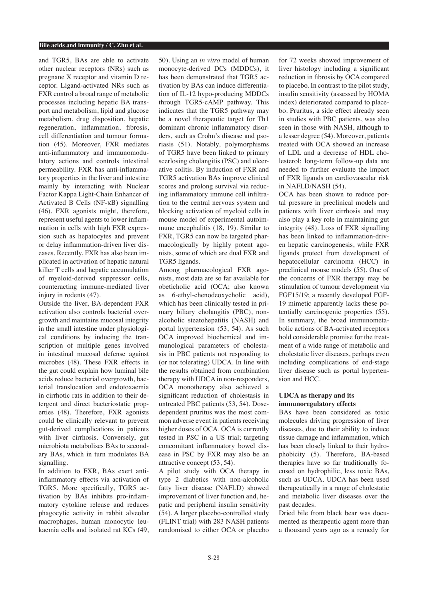and TGR5, BAs are able to activate other nuclear receptors (NRs) such as pregnane X receptor and vitamin D receptor. Ligand-activated NRs such as FXR control a broad range of metabolic processes including hepatic BA transport and metabolism, lipid and glucose metabolism, drug disposition, hepatic regeneration, inflammation, fibrosis, cell differentiation and tumour formation (45). Moreover, FXR mediates anti-inflammatory and immunomodulatory actions and controls intestinal permeability. FXR has anti-inflammatory properties in the liver and intestine mainly by interacting with Nuclear Factor Kappa Light-Chain Enhancer of Activated B Cells (NF-kB) signalling (46). FXR agonists might, therefore, represent useful agents to lower inflammation in cells with high FXR expression such as hepatocytes and prevent or delay inflammation-driven liver diseases. Recently, FXR has also been implicated in activation of hepatic natural killer T cells and hepatic accumulation of myeloid-derived suppressor cells, counteracting immune-mediated liver injury in rodents (47).

Outside the liver, BA-dependent FXR activation also controls bacterial overgrowth and maintains mucosal integrity in the small intestine under physiological conditions by inducing the transcription of multiple genes involved in intestinal mucosal defense against microbes (48). These FXR effects in the gut could explain how luminal bile acids reduce bacterial overgrowth, bacterial translocation and endotoxaemia in cirrhotic rats in addition to their detergent and direct bacteriostatic properties (48). Therefore, FXR agonists could be clinically relevant to prevent gut-derived complications in patients with liver cirrhosis. Conversely, gut microbiota metabolises BAs to secondary BAs, which in turn modulates BA signalling.

In addition to FXR, BAs exert antiinflammatory effects via activation of TGR5. More specifically, TGR5 activation by BAs inhibits pro-inflammatory cytokine release and reduces phagocytic activity in rabbit alveolar macrophages, human monocytic leukaemia cells and isolated rat KCs (49,

50). Using an *in vitro* model of human monocyte-derived DCs (MDDCs), it has been demonstrated that TGR5 activation by BAs can induce differentiation of IL-12 hypo-producing MDDCs through TGR5-cAMP pathway. This indicates that the TGR5 pathway may be a novel therapeutic target for Th1 dominant chronic inflammatory disorders, such as Crohn's disease and psoriasis (51). Notably, polymorphisms of TGR5 have been linked to primary scerlosing cholangitis (PSC) and ulcerative colitis. By induction of FXR and TGR5 activation BAs improve clinical scores and prolong survival via reducing inflammatory immune cell infiltration to the central nervous system and blocking activation of myeloid cells in mouse model of experimental autoimmune encephalitis (18, 19). Similar to FXR, TGR5 can now be targeted pharmacologically by highly potent agonists, some of which are dual FXR and TGR5 ligands.

Among pharmacological FXR agonists, most data are so far available for obeticholic acid (OCA; also known as 6-ethyl-chenodeoxycholic acid), which has been clinically tested in primary biliary cholangitis (PBC), nonalcoholic steatohepatitis (NASH) and portal hypertension (53, 54). As such OCA improved biochemical and immunological parameters of cholestasis in PBC patients not responding to (or not tolerating) UDCA. In line with the results obtained from combination therapy with UDCA in non-responders, OCA monotherapy also achieved a significant reduction of cholestasis in untreated PBC patients (53, 54). Dosedependent pruritus was the most common adverse event in patients receiving higher doses of OCA. OCA is currently tested in PSC in a US trial; targeting concomitant inflammatory bowel disease in PSC by FXR may also be an attractive concept (53, 54).

A pilot study with OCA therapy in type 2 diabetics with non-alcoholic fatty liver disease (NAFLD) showed improvement of liver function and, hepatic and peripheral insulin sensitivity (54). A larger placebo-controlled study (FLINT trial) with 283 NASH patients randomised to either OCA or placebo for 72 weeks showed improvement of liver histology including a significant reduction in fibrosis by OCA compared to placebo. In contrast to the pilot study, insulin sensitivity (assessed by HOMA index) deteriorated compared to placebo. Pruritus, a side effect already seen in studies with PBC patients, was also seen in those with NASH, although to a lesser degree (54). Moreover, patients treated with OCA showed an increase of LDL and a decrease of HDL cholesterol; long-term follow-up data are needed to further evaluate the impact of FXR ligands on cardiovascular risk in NAFLD/NASH (54).

OCA has been shown to reduce portal pressure in preclinical models and patients with liver cirrhosis and may also play a key role in maintaining gut integrity (48). Loss of FXR signalling has been linked to inflammation-driven hepatic carcinogenesis, while FXR ligands protect from development of hepatocellular carcinoma (HCC) in preclinical mouse models (55). One of the concerns of FXR therapy may be stimulation of tumour development via FGF15/19; a recently developed FGF-19 mimetic apparently lacks these potentially carcinogenic properties (55). In summary, the broad immunometabolic actions of BA-activated receptors hold considerable promise for the treatment of a wide range of metabolic and cholestatic liver diseases, perhaps even including complications of end-stage liver disease such as portal hypertension and HCC.

## **UDCA as therapy and its immunoregulatory effects**

BAs have been considered as toxic molecules driving progression of liver diseases, due to their ability to induce tissue damage and inflammation, which has been closely linked to their hydrophobicity (5). Therefore, BA-based therapies have so far traditionally focused on hydrophilic, less toxic BAs, such as UDCA. UDCA has been used therapeutically in a range of cholestatic and metabolic liver diseases over the past decades.

Dried bile from black bear was documented as therapeutic agent more than a thousand years ago as a remedy for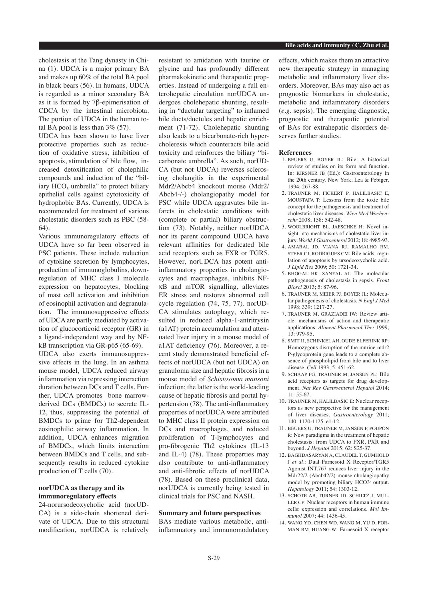cholestasis at the Tang dynasty in China (1). UDCA is a major primary BA and makes up 60% of the total BA pool in black bears (56). In humans, UDCA is regarded as a minor secondary BA as it is formed by 7β-epimerisation of CDCA by the intestinal microbiota. The portion of UDCA in the human total BA pool is less than  $3\%$  (57).

UDCA has been shown to have liver protective properties such as reduction of oxidative stress, inhibition of apoptosis, stimulation of bile flow, increased detoxification of cholephilic compounds and induction of the "biliary  $HCO<sub>3</sub>$  umbrella" to protect biliary epithelial cells against cytotoxicity of hydrophobic BAs. Currently, UDCA is recommended for treatment of various cholestatic disorders such as PBC (58- 64).

Various immunoregulatory effects of UDCA have so far been observed in PSC patients. These include reduction of cytokine secretion by lymphocytes, production of immunoglobulins, downregulation of MHC class I molecule expression on hepatocytes, blocking of mast cell activation and inhibition of eosinophil activation and degranulation. The immunosuppressive effects of UDCA are partly mediated by activation of glucocorticoid receptor (GR) in a ligand-independent way and by NFkB transcription via GR-p65 (65-69).

UDCA also exerts immunosuppressive effects in the lung. In an asthma mouse model, UDCA reduced airway inflammation via repressing interaction duration between DCs and T cells. Further, UDCA promotes bone marrowderived DCs (BMDCs) to secrete IL-12, thus, suppressing the potential of BMDCs to prime for Th2-dependent eosinophilic airway inflammation. In addition, UDCA enhances migration of BMDCs, which limits interaction between BMDCs and T cells, and subsequently results in reduced cytokine production of T cells (70).

### **norUDCA as therapy and its immunoregulatory effects**

24-norursodeoxycholic acid (norUD-CA) is a side-chain shortened derivate of UDCA. Due to this structural modification, norUDCA is relatively resistant to amidation with taurine or glycine and has profoundly different pharmakokinetic and therapeutic properties. Instead of undergoing a full enterohepatic circulation norUDCA undergoes cholehepatic shunting, resulting in "ductular targeting" to inflamed bile ducts/ductules and hepatic enrichment (71-72). Cholehepatic shunting also leads to a bicarbonate-rich hypercholeresis which counteracts bile acid toxicity and reinforces the biliary "bicarbonate umbrella". As such, norUD-CA (but not UDCA) reverses sclerosing cholangitis in the experimental Mdr2/Abcb4 knockout mouse (Mdr2/ Abcb4-/-) cholangiopathy model for PSC while UDCA aggravates bile infarcts in cholestatic conditions with (complete or partial) biliary obstruction (73). Notably, neither norUDCA nor its parent compound UDCA have relevant affinities for dedicated bile acid receptors such as FXR or TGR5. However, norUDCA has potent antiinflammatory properties in cholangiocytes and macrophages, inhibits NFkB and mTOR signalling, alleviates ER stress and restores abnormal cell cycle regulation (74, 75, 77). norUD-CA stimulates autophagy, which resulted in reduced alpha-1-antritrysin (a1AT) protein accumulation and attenuated liver injury in a mouse model of a1AT deficiency (76). Moreover, a recent study demonstrated beneficial effects of norUDCA (but not UDCA) on granuloma size and hepatic fibrosis in a mouse model of *Schistosoma mansoni* infection; the latter is the world-leading cause of hepatic fibrosis and portal hypertension (78). The anti-inflammatory properties of norUDCA were attributed to MHC class II protein expression on DCs and macrophages, and reduced proliferation of T-lymphocytes and pro-fibrogenic Th2 cytokines (IL-13 and IL-4) (78). These properties may also contribute to anti-inflammatory and anti-fibrotic effects of norUDCA (78). Based on these preclinical data, norUDCA is currently being tested in clinical trials for PSC and NASH.

## **Summary and future perspectives**

BAs mediate various metabolic, antiinflammatory and immunomodulatory effects, which makes them an attractive new therapeutic strategy in managing metabolic and inflammatory liver disorders. Moreover, BAs may also act as prognostic biomarkers in cholestatic, metabolic and inflammatory disorders (*e.g.* sepsis). The emerging diagnostic, prognostic and therapeutic potential of BAs for extrahepatic disorders deserves further studies.

#### **References**

- 1. BEUERS U, BOYER JL: Bile: A historical review of studies on its form and function. In: KIRSNER JB (Ed.): Gastroenterology in the 20th century. New York, Lea & Febiger, 1994: 267-88.
- 2. TRAUNER M, FICKERT P, HALILBASIC E, MOUSTAFA T: Lessons from the toxic bile concept for the pathogenesis and treatment of cholestatic liver diseases. *Wien Med Wochenschr* 2008; 158: 542-48.
- 3. WOOLBRIGHT BL, JAESCHKE H: Novel insight into mechanisms of cholestatic liver injury. *World J Gastroenterol* 2012; 18: 4985-93.
- 4. AMARAL JD, VIANA RJ, RAMALHO RM, STEER CJ, RODRIGUES CM: Bile acids: regulation of apoptosis by ursodeoxycholic acid. *J Lipid Res* 2009; 50: 1721-34.
- 5. BHOGAL HK, SANYAL AJ: The molecular pathogenesis of cholestasis in sepsis. *Front Biosci* 2013; 5: 87-96.
- 6. TRAUNER M, MEIER PJ, BOYER JL: Molecular pathogenesis of cholestasis. *N Engl J Med* 1998; 339: 1217-27.
- 7. TRAUNER M, GRAZIADEI IW: Review article: mechanisms of action and therapeutic applications. *Aliment Pharmacol Ther* 1999; 13: 979-95.
- 8. SMIT JJ, SCHINKEL AH, OUDE ELFERINK RP: Homozygous disruption of the murine mdr2 P-glycoprotein gene leads to a complete absence of phospholipid from bile and to liver disease. *Cell* 1993; 5: 451-62.
- 9. SCHAAP FG, TRAUNER M, JANSEN PL: Bile acid receptors as targets for drug development. *Nat Rev Gastroenterol Hepatol* 2014; 11: 55-67.
- 10. TRAUNER M, HALILBASIC E: Nuclear receptors as new perspective for the management of liver diseases. *Gastroenterology* 2011; 140: 1120-1125. e1-12.
- 11. BEUERS U, TRAUNER M, JANSEN P, POUPON R: New paradigms in the treatment of hepatic cholestasis: from UDCA to FXR, PXR and beyond. *J Hepatol* 2015; 62: S25-37.
- 12. BAGHDASARYAN A, CLAUDEL T, GUMHOLD J *et al*.: Dual Farnesoid X Receptor/TGR5 Agonist INT.767 reduces liver injury in the Mdr22/2 (Abcb42/2) mouse cholangiopathy model by promoting biliary HCO3- output. *Hepatology* 2011; 54: 1303-12.
- 13. SCHOTE AB, TURNER JD, SCHILTZ J, MUL-LER CP: Nuclear receptors in human immune cells: expression and correlations. *Mol Immunol* 2007; 44: 1436-45.
- 14. WANG YD, CHEN WD, WANG M, YU D, FOR-MAN BM, HUANG W: Farnesoid X receptor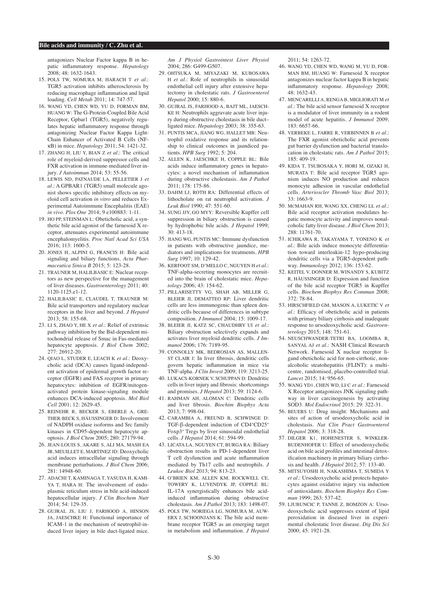antagonizes Nuclear Factor kappa B in hepatic inflammatory response. *Hepatology* 2008; 48: 1632-1643.

- 15. POLS TW, NOMURA M, HARACH T *et al*.: TGR5 activation inhibits atherosclerosis by reducing macrophage inflammation and lipid loading. *Cell Metab* 2011; 14: 747-57.
- 16. WANG YD, CHEN WD, YU D, FORMAN BM, HUANG W: The G-Protein-Coupled Bile Acid Receptor, Gpbar1 (TGR5), negatively regulates hepatic inflammatory response through antagonizing Nuclear Factor Kappa Light-Chain Enhancer of Activated B Cells (NFkB) in mice. *Hepatology* 2011; 54: 1421-32.
- 17. ZHANG H, LIU Y, BIAN Z *et al*.: The critical role of myeloid-derived suppressor cells and FXR activation in immune-mediated liver injury. *J Autoimmun* 2014; 53: 55-56.
- 18. LEWIS ND, PATNAUDE LA, PELLETIER J *et al*.: A GPBAR1 (TGR5) small molecule agonist shows specific inhibitory effects on myeloid cell activation *in vitro* and reduces Experimental Autoimmune Encephalitis (EAE) *in vivo. Plos One* 2014; 9 e100883: 1-11.
- 19. HO PP, STEINMAN L: Obeticholic acid, a synthetic bile acid agonist of the farnesoid X receptor, attenuates experimental autoimmune encephalomyelitis. *Proc Natl Acad Sci USA* 2016; 113: 1600-5.
- 20. JONES H, ALPINI G, FRANCIS H: Bile acid signaling and biliary functions. *Acta Pharmaceutica Sinica B* 2015; 5: 123-28.
- 21. TRAUNER M, HALILBASIC E: Nuclear receptors as new perspective for the management of liver diseases. *Gastroenterology* 2011; 40: 1120-1125.e1-12.
- 22. HALILBASIC E, CLAUDEL T, TRAUNER M: Bile acid transporters and regulatory nuclear receptors in the liver and beyond. *J Hepatol* 2013; 58: 155-68.
- 23. LI S, ZHAO Y, HE X *et al*.: Relief of extrinsic pathway inhibition by the Bid-dependent mitochondrial release of Smac in Fas-mediated hepatocyte apoptosis. *J Biol Chem* 2002; 277: 26912-20.
- 24. QIAO L, STUDER E, LEACH K *et al*.: Deoxycholic acid (DCA) causes ligand-independent activation of epidermal growth factor receptor (EGFR) and FAS receptor in primary hepatocytes: inhibition of EGFR/mitogenactivated protein kinase-signaling module enhances DCA-induced apoptosis. *Mol Biol Cell* 2001; 12: 2629-45.
- 25. REINEHR R, BECKER S, EBERLE A, GRE-THER-BECK S, HÄUSSINGER D: Involvement of NADPH oxidase isoforms and Src family kinases in CD95-dependent hepatocyte apoptosis. *J Biol Chem* 2005; 280: 27179-94.
- 26. JEAN-LOUIS S, AKARE S, ALI MA, MASH EA JR, MEUILLET E, MARTINEZ JD: Deoxycholic acid induces intracellular signaling through membrane perturbations. *J Biol Chem* 2006; 281: 14948-60.
- 27. ADACHI T, KAMINAGA T, YASUDA H, KAMI-YA T, HARA H: The involvement of endoplasmic reticulum stress in bile acid-induced hepatocellular injury. *J Clin Biochem Nutr* 2014; 54: 129-35.
- 28. GUJRAL JS, LIU J, FARHOOD A, HINSON JA, JAESCHKE H: Functional importance of ICAM-1 in the mechanism of neutrophil-induced liver injury in bile duct-ligated mice.

*Am J Physiol Gastrointest Liver Physiol* 2004; 286: G499-G507.

- 29. OHTSUKA M, MIYAZAKI M, KUBOSAWA H *et al*.: Role of neutrophils in sinusoidal endothelial cell injury after extensive hepatectomy in cholestatic rats. *J Gastroenterol Hepatol* 2000; 15: 880-6.
- 30. GUJRAL JS, FARHOOD A, BAJT ML, JAESCH-KE H: Neutrophils aggravate acute liver injury during obstructive cholestasis in bile duct– ligated mice. *Hepatology* 2003; 38: 355-63.
- 31. PUNTIS MCA, JIANG WG, HALLET MB: Neutrophil oxidative response and its relationship to clinical outcomes in jaundiced patients. *HPB Surg* 1992; 5: 204.
- 32. ALLEN K, JAESCHKE H, COPPLE BL: Bile acids induce inflammatory genes in hepatocytes: a novel mechanism of inflammation during obstructive cholestasis. *Am J Pathol* 2011; 178: 175-86.
- 33. DAHM LJ, ROTH RA: Differential effects of lithocholate on rat neutrophil activation. *J Leuk Biol* 1990; 47: 551-60.
- 34. SUNG JJY, GO MYY: Reversible Kupffer cell suppression in biliary obstruction is caused by hydrophobic bile acids. *J Hepatol* 1999; 30: 413-18.
- 35. JIANG WG, PUNTIS MC: Immune dysfunction in patients with obstructive jaundice, mediators and implications for treatments. *HPB Surg* 1997; 10: 129-42.
- 36. KERFOOT SM, D'MELLO C, NGUYEN H *et al*.: TNF-alpha-secreting monocytes are recruited into the brain of cholestatic mice. *Hepatology* 2006; 43: 154-62.
- 37. PILLARISETTY VG, SHAH AB, MILLER G, BLEIER JI, DEMATTEO RP: Liver dendritic cells are less immunogenic than spleen dendritic cells because of differences in subtype composition. *J Immunol* 2004; 15: 1009-17.
- 38. BLEIER JI, KATZ SC, CHAUDHRY UI *et al.*: Biliary obstruction selectively expands and activates liver myeloid dendritic cells. *J Immunol* 2006; 176: 7189-95.
- 39. CONNOLLY MK, BEDROSIAN AS, MALLEN-ST CLAIR J: In liver fibrosis, dendritic cells govern hepatic inflammation in mice via TNF-alpha. *J Clin Invest* 2009; 119: 3213-25.
- 40. LUKACS-KORNEK V, SCHUPPAN D: Dendritic cells in liver injury and fibrosis: shortcomings and promises. *J Hepatol* 2013; 59: 1124-6.
- 41. RAHMAN AH, ALOMAN C: Dendritic cells and liver fibrosis. *Biochim Biophys Acta* 2013; 7: 998-04.
- 42. CARAMBIA A, FREUND B, SCHWINGE D: TGF-β-dependent induction of CD4+CD25+ Foxp3+ Tregs by liver sinusoidal endothelial cells. *J Hepatol* 2014; 61: 594-99.
- 43. LICATA LA, NGUYEN CT, BURGA RA: Biliary obstruction results in PD-1-dependent liver T cell dysfunction and acute inflammation mediated by Th17 cells and neutrophils. *J Leukoc Biol* 2013; 94: 813-23.
- 44. O'BRIEN KM, ALLEN KM, ROCKWELL CE, TOWERY K, LUYENDYK JP, COPPLE BL: IL-17A synergistically enhances bile acidinduced inflammation during obstructive cholestasis. *Am J Pathol* 2013; 183: 1498-07.
- 45. POLS TW, NORIEGA LG, NOMURA M, AUW-ERX J, SCHOONJANS K: The bile acid membrane receptor TGR5 as an emerging target in metabolism and inflammation. *J Hepatol*

2011; 54: 1263-72.

- 46. WANG YD, CHEN WD, WANG M, YU D, FOR-MAN BM, HUANG W: Farnesoid X receptor antagonizes nuclear factor kappa B in hepatic inflammatory response. *Hepatology* 2008;  $48.1632 - 43$
- 47. MENCARELLI A, RENGA B, MIGLIORATI M *et al*.: The bile acid sensor farnesoid X receptor is a modulator of liver immunity in a rodent model of acute hepatitis. *J Immunol* 2009; 183: 6657-66.
- 48. VERBEKE L, FARRE R, VERBINNEN B *et al*.: The FXR agonist obeticholic acid prevents gut barrier dysfunction and bacterial translocation in cholestatic rats. *Am J Pathol* 2015; 185: 409-19.
- 49. KIDA T, TSUBOSAKA Y, HORI M, OZAKI H, MURATA T: Bile acid receptor TGR5 agonism induces NO production and reduces monocyte adhesion in vascular endothelial cells. *Arterioscler Thromb Vasc Biol* 2013; 33: 1663-9.
- 50. McMAHAN RH, WANG XX, CHENG LL *et al*.: Bile acid receptor activation modulates hepatic monocyte activity and improves nonalcoholic fatty liver disease. *J Biol Chem* 2013; 288: 11761-70.
- 51. ICHIKAWA R, TAKAYAMA T, YONENO K *et al*.: Bile acids induce monocyte differentiation toward interleukin-12 hypo-producing dendritic cells via a TGR5-dependent pathway. *Immunology* 2012; 136: 153-62.
- 52. KEITEL V, DONNER M, WINANDY S, KUBITZ R, HÄUSSINGER D: Expression and function of the bile acid receptor TGR5 in Kupffer cells. *Biochem Biophys Res Commun* 2008; 372: 78-84.
- 53. HIRSCHFIELD GM, MASON A, LUKETIC V *et al*.: Efficacy of obeticholic acid in patients with primary biliary cirrhosis and inadequate response to ursodeoxycholic acid. *Gastroenterology* 2015; 148: 751-61.
- 54. NEUSCHWANDER-TETRI BA, LOOMBA R, SANYAL AJ *et al*.: NASH Clinical Research Network. Farnesoid X nuclear receptor ligand obeticholic acid for non-cirrhotic, nonalcoholic steatohepatitis (FLINT): a multicentre, randomised, placebo-controlled trial. *Lancet* 2015; 14: 956-65.
- 55. WANG YD1, CHEN WD, LI C *et al*.: Farnesoid X Receptor antagonizes JNK signaling pathway in liver carcinogenesis by activating SOD3. *Mol Endocrinol* 2015: 29: 322-31.
- 56. BEUERS U: Drug insight: Mechanisms and sites of action of ursodeoxycholic acid in cholestasis. *Nat Clin Pract Gastroenterol Hepatol* 2006; 3: 318-28.
- 57. DILGER K1, HOHENESTER S, WINKLER-BUDENHOFER U: Effect of ursodeoxycholic acid on bile acid profiles and intestinal detoxification machinery in primary biliary cirrhosis and health. *J Hepatol* 2012; 57: 133-40.
- 58. MITSUYOSHI H, NAKASHIMA T, SUMIDA Y *et al*.: Ursodeoxycholic acid protects hepatocytes against oxidative injury via induction of antioxidants. *Biochem Biophys Res Commun* 1999; 263: 537-42.
- 59. LJUBUNCIC P, TANNE Z, BOMZON A: Ursodeoxycholic acid suppresses extent of lipid peroxidation in diseased liver in experimental cholestatic liver disease. *Dig Dis Sci* 2000; 45: 1921-28.